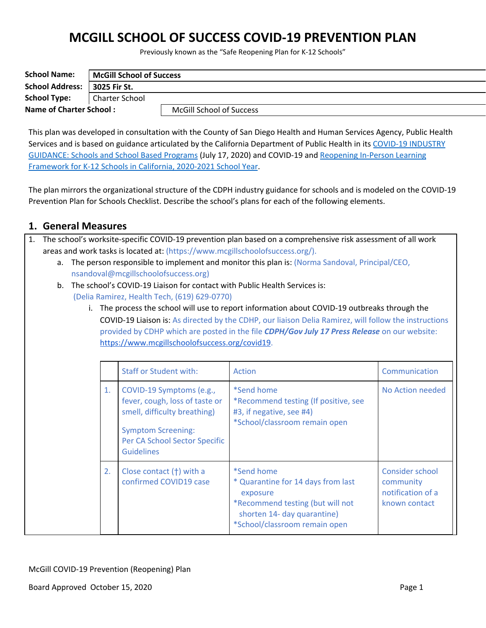# **MCGILL SCHOOL OF SUCCESS COVID-19 PREVENTION PLAN**

Previously known as the "Safe Reopening Plan for K-12 Schools"

| <b>School Name:</b>            | McGill School of Success |                                 |  |
|--------------------------------|--------------------------|---------------------------------|--|
| <b>School Address:</b>         | 3025 Fir St.             |                                 |  |
| <b>School Type:</b>            | <b>Charter School</b>    |                                 |  |
| <b>Name of Charter School:</b> |                          | <b>McGill School of Success</b> |  |

This plan was developed in consultation with the County of San Diego Health and Human Services Agency, Public Health Services and is based on guidance articulated by the California Department of Public Health in its COVID-19 [INDUSTRY](https://covid19.ca.gov/pdf/guidance-schools.pdf) [GUIDANCE:](https://covid19.ca.gov/pdf/guidance-schools.pdf) Schools and School Based Programs (July 17, 2020) and COVID-19 and [Reopening](https://www.cdph.ca.gov/programs/cid/dcdc/cdph%20document%20library/covid-19/schools%20reopening%20recommendations.pdf) In-Person Learning [Framework](https://www.cdph.ca.gov/programs/cid/dcdc/cdph%20document%20library/covid-19/schools%20reopening%20recommendations.pdf) for K-12 Schools in California, 2020-2021 School Year.

The plan mirrors the organizational structure of the CDPH industry guidance for schools and is modeled on the COVID-19 Prevention Plan for Schools Checklist. Describe the school's plans for each of the following elements.

### **1. General Measures**

- 1. The school's worksite-specific COVID-19 prevention plan based on a comprehensive risk assessment of all work areas and work tasks is located at: (https://www.mcgillschoolofsuccess.org/).
	- a. The person responsible to implement and monitor this plan is: (Norma Sandoval, Principal/CEO, nsandoval@mcgillschoolofsuccess.org)
	- b. The school's COVID-19 Liaison for contact with Public Health Services is: (Delia Ramirez, Health Tech, (619) 629-0770)
		- i. The process the school will use to report information about COVID-19 outbreaks through the COVID-19 Liaison is: As directed by the CDHP, our liaison Delia Ramirez, will follow the instructions provided by CDHP which are posted in the file *CDPH/Gov July 17 Press Release* on our website: <https://www.mcgillschoolofsuccess.org/covid19>.

|    | <b>Staff or Student with:</b>                                                                                                                                                 | Action                                                                                                                                                                  | Communication                                                      |
|----|-------------------------------------------------------------------------------------------------------------------------------------------------------------------------------|-------------------------------------------------------------------------------------------------------------------------------------------------------------------------|--------------------------------------------------------------------|
| 1. | COVID-19 Symptoms (e.g.,<br>fever, cough, loss of taste or<br>smell, difficulty breathing)<br><b>Symptom Screening:</b><br>Per CA School Sector Specific<br><b>Guidelines</b> | *Send home<br>*Recommend testing (If positive, see<br>#3, if negative, see #4)<br>*School/classroom remain open                                                         | No Action needed                                                   |
| 2. | Close contact (†) with a<br>confirmed COVID19 case                                                                                                                            | <i>*Send home</i><br>* Quarantine for 14 days from last<br>exposure<br>*Recommend testing (but will not<br>shorten 14- day quarantine)<br>*School/classroom remain open | Consider school<br>community<br>notification of a<br>known contact |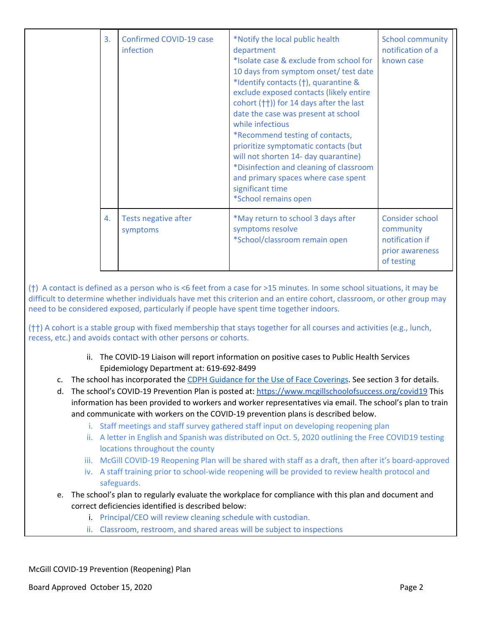| 3. | Confirmed COVID-19 case<br>infection | *Notify the local public health<br>department<br>*Isolate case & exclude from school for<br>10 days from symptom onset/ test date<br>*Identify contacts (†), quarantine &<br>exclude exposed contacts (likely entire<br>cohort (††)) for 14 days after the last<br>date the case was present at school<br>while infectious<br>*Recommend testing of contacts,<br>prioritize symptomatic contacts (but<br>will not shorten 14- day quarantine)<br>*Disinfection and cleaning of classroom<br>and primary spaces where case spent<br>significant time<br>*School remains open | <b>School community</b><br>notification of a<br>known case                       |
|----|--------------------------------------|-----------------------------------------------------------------------------------------------------------------------------------------------------------------------------------------------------------------------------------------------------------------------------------------------------------------------------------------------------------------------------------------------------------------------------------------------------------------------------------------------------------------------------------------------------------------------------|----------------------------------------------------------------------------------|
| 4. | Tests negative after<br>symptoms     | *May return to school 3 days after<br>symptoms resolve<br>*School/classroom remain open                                                                                                                                                                                                                                                                                                                                                                                                                                                                                     | Consider school<br>community<br>notification if<br>prior awareness<br>of testing |

(†) A contact is defined as a person who is <6 feet from a case for >15 minutes. In some school situations, it may be difficult to determine whether individuals have met this criterion and an entire cohort, classroom, or other group may need to be considered exposed, particularly if people have spent time together indoors.

(††) A cohort is a stable group with fixed membership that stays together for all courses and activities (e.g., lunch, recess, etc.) and avoids contact with other persons or cohorts.

- ii. The COVID-19 Liaison will report information on positive cases to Public Health Services Epidemiology Department at: 619-692-8499
- c. The school has incorporated the CDPH Guidance for the Use of Face [Coverings](https://www.cdph.ca.gov/Programs/CID/DCDC/CDPH%20Document%20Library/COVID-19/Guidance-for-Face-Coverings_06-18-2020.pdf). See section 3 for details.
- d. The school's COVID-19 Prevention Plan is posted at: <https://www.mcgillschoolofsuccess.org/covid19> This information has been provided to workers and worker representatives via email. The school's plan to train and communicate with workers on the COVID-19 prevention plans is described below.
	- i. Staff meetings and staff survey gathered staff input on developing reopening plan
	- ii. A letter in English and Spanish was distributed on Oct. 5, 2020 outlining the Free COVID19 testing locations throughout the county
	- iii. McGill COVID-19 Reopening Plan will be shared with staff as a draft, then after it's board-approved
	- iv. A staff training prior to school-wide reopening will be provided to review health protocol and safeguards.
- e. The school's plan to regularly evaluate the workplace for compliance with this plan and document and correct deficiencies identified is described below:
	- i. Principal/CEO will review cleaning schedule with custodian.
	- ii. Classroom, restroom, and shared areas will be subject to inspections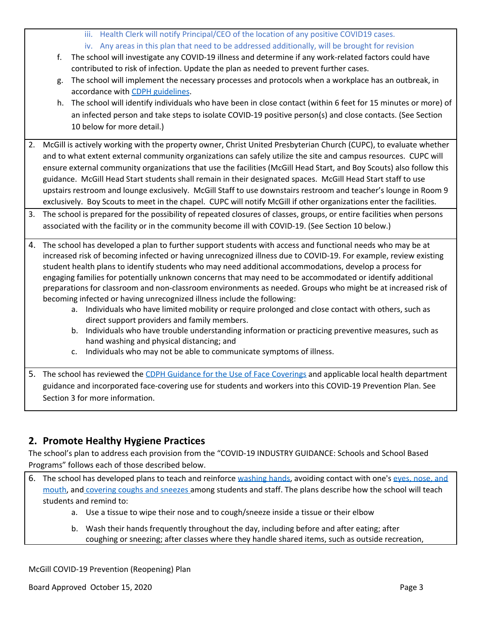- iii. Health Clerk will notify Principal/CEO of the location of any positive COVID19 cases.
- iv. Any areas in this plan that need to be addressed additionally, will be brought for revision
- f. The school will investigate any COVID-19 illness and determine if any work-related factors could have contributed to risk of infection. Update the plan as needed to prevent further cases.
- g. The school will implement the necessary processes and protocols when a workplace has an outbreak, in accordance with CDPH [guidelines](https://www.cdph.ca.gov/Programs/CID/DCDC/Pages/COVID-19/Workplace-Outbreak-Employer-Guidance.aspx).
- h. The school will identify individuals who have been in close contact (within 6 feet for 15 minutes or more) of an infected person and take steps to isolate COVID-19 positive person(s) and close contacts. (See Section 10 below for more detail.)
- 2. McGill is actively working with the property owner, Christ United Presbyterian Church (CUPC), to evaluate whether and to what extent external community organizations can safely utilize the site and campus resources. CUPC will ensure external community organizations that use the facilities (McGill Head Start, and Boy Scouts) also follow this guidance. McGill Head Start students shall remain in their designated spaces. McGill Head Start staff to use upstairs restroom and lounge exclusively. McGill Staff to use downstairs restroom and teacher's lounge in Room 9 exclusively. Boy Scouts to meet in the chapel. CUPC will notify McGill if other organizations enter the facilities.
- 3. The school is prepared for the possibility of repeated closures of classes, groups, or entire facilities when persons associated with the facility or in the community become ill with COVID-19. (See Section 10 below.)
- 4. The school has developed a plan to further support students with access and functional needs who may be at increased risk of becoming infected or having unrecognized illness due to COVID-19. For example, review existing student health plans to identify students who may need additional accommodations, develop a process for engaging families for potentially unknown concerns that may need to be accommodated or identify additional preparations for classroom and non-classroom environments as needed. Groups who might be at increased risk of becoming infected or having unrecognized illness include the following:
	- a. Individuals who have limited mobility or require prolonged and close contact with others, such as direct support providers and family members.
	- b. Individuals who have trouble understanding information or practicing preventive measures, such as hand washing and physical distancing; and
	- c. Individuals who may not be able to communicate symptoms of illness.
- 5. The school has reviewed the CDPH Guidance for the Use of Face [Coverings](https://www.cdph.ca.gov/Programs/CID/DCDC/CDPH%20Document%20Library/COVID-19/Guidance-for-Face-Coverings_06-18-2020.pdf) and applicable local health department guidance and incorporated face-covering use for students and workers into this COVID-19 Prevention Plan. See Section 3 for more information.

# **2. Promote Healthy Hygiene Practices**

The school's plan to address each provision from the "COVID-19 INDUSTRY GUIDANCE: Schools and School Based Programs" follows each of those described below.

- 6. The school has developed plans to teach and reinforce [washing](https://www.cdc.gov/handwashing/index.html) hands, avoiding contact with one's eyes, [nose,](https://www.cdc.gov/coronavirus/2019-ncov/prevent-getting-sick/prevention-H.pdf) and [mouth,](https://www.cdc.gov/coronavirus/2019-ncov/prevent-getting-sick/prevention-H.pdf) and [covering](https://www.cdc.gov/healthywater/hygiene/etiquette/coughing_sneezing.html) coughs and sneezes among students and staff. The plans describe how the school will teach students and remind to:
	- a. Use a tissue to wipe their nose and to cough/sneeze inside a tissue or their elbow
	- b. Wash their hands frequently throughout the day, including before and after eating; after coughing or sneezing; after classes where they handle shared items, such as outside recreation,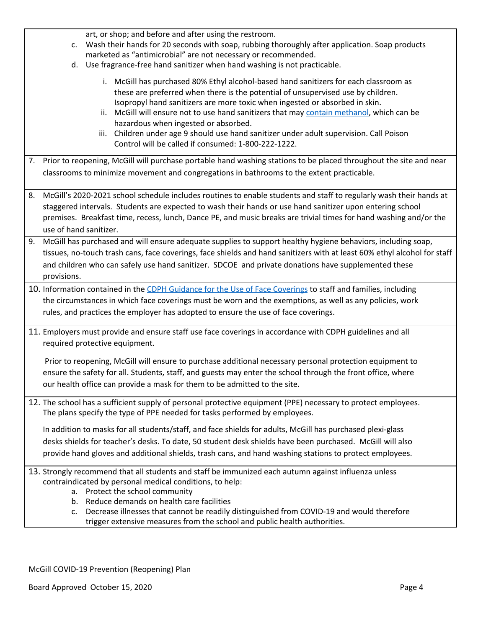| art, or shop; and before and after using the restroom.                                                                                                                                                                                                                                                                                                                                                                                                                                                                                           |  |  |  |
|--------------------------------------------------------------------------------------------------------------------------------------------------------------------------------------------------------------------------------------------------------------------------------------------------------------------------------------------------------------------------------------------------------------------------------------------------------------------------------------------------------------------------------------------------|--|--|--|
| Wash their hands for 20 seconds with soap, rubbing thoroughly after application. Soap products<br>c.                                                                                                                                                                                                                                                                                                                                                                                                                                             |  |  |  |
| marketed as "antimicrobial" are not necessary or recommended.                                                                                                                                                                                                                                                                                                                                                                                                                                                                                    |  |  |  |
| d. Use fragrance-free hand sanitizer when hand washing is not practicable.                                                                                                                                                                                                                                                                                                                                                                                                                                                                       |  |  |  |
| i. McGill has purchased 80% Ethyl alcohol-based hand sanitizers for each classroom as<br>these are preferred when there is the potential of unsupervised use by children.<br>Isopropyl hand sanitizers are more toxic when ingested or absorbed in skin.<br>ii. McGill will ensure not to use hand sanitizers that may contain methanol, which can be<br>hazardous when ingested or absorbed.<br>iii. Children under age 9 should use hand sanitizer under adult supervision. Call Poison<br>Control will be called if consumed: 1-800-222-1222. |  |  |  |
|                                                                                                                                                                                                                                                                                                                                                                                                                                                                                                                                                  |  |  |  |
| 7. Prior to reopening, McGill will purchase portable hand washing stations to be placed throughout the site and near                                                                                                                                                                                                                                                                                                                                                                                                                             |  |  |  |
| classrooms to minimize movement and congregations in bathrooms to the extent practicable.                                                                                                                                                                                                                                                                                                                                                                                                                                                        |  |  |  |
|                                                                                                                                                                                                                                                                                                                                                                                                                                                                                                                                                  |  |  |  |
| McGill's 2020-2021 school schedule includes routines to enable students and staff to regularly wash their hands at<br>8.                                                                                                                                                                                                                                                                                                                                                                                                                         |  |  |  |
| staggered intervals. Students are expected to wash their hands or use hand sanitizer upon entering school                                                                                                                                                                                                                                                                                                                                                                                                                                        |  |  |  |
| premises. Breakfast time, recess, lunch, Dance PE, and music breaks are trivial times for hand washing and/or the                                                                                                                                                                                                                                                                                                                                                                                                                                |  |  |  |
| use of hand sanitizer.                                                                                                                                                                                                                                                                                                                                                                                                                                                                                                                           |  |  |  |
| 9. McGill has purchased and will ensure adequate supplies to support healthy hygiene behaviors, including soap,                                                                                                                                                                                                                                                                                                                                                                                                                                  |  |  |  |
| tissues, no-touch trash cans, face coverings, face shields and hand sanitizers with at least 60% ethyl alcohol for staff                                                                                                                                                                                                                                                                                                                                                                                                                         |  |  |  |
| and children who can safely use hand sanitizer. SDCOE and private donations have supplemented these                                                                                                                                                                                                                                                                                                                                                                                                                                              |  |  |  |
| provisions.                                                                                                                                                                                                                                                                                                                                                                                                                                                                                                                                      |  |  |  |
|                                                                                                                                                                                                                                                                                                                                                                                                                                                                                                                                                  |  |  |  |
| 10. Information contained in the CDPH Guidance for the Use of Face Coverings to staff and families, including                                                                                                                                                                                                                                                                                                                                                                                                                                    |  |  |  |
| the circumstances in which face coverings must be worn and the exemptions, as well as any policies, work                                                                                                                                                                                                                                                                                                                                                                                                                                         |  |  |  |
| rules, and practices the employer has adopted to ensure the use of face coverings.                                                                                                                                                                                                                                                                                                                                                                                                                                                               |  |  |  |
|                                                                                                                                                                                                                                                                                                                                                                                                                                                                                                                                                  |  |  |  |
| 11. Employers must provide and ensure staff use face coverings in accordance with CDPH guidelines and all                                                                                                                                                                                                                                                                                                                                                                                                                                        |  |  |  |
| required protective equipment.                                                                                                                                                                                                                                                                                                                                                                                                                                                                                                                   |  |  |  |
| Prior to reopening, McGill will ensure to purchase additional necessary personal protection equipment to                                                                                                                                                                                                                                                                                                                                                                                                                                         |  |  |  |
|                                                                                                                                                                                                                                                                                                                                                                                                                                                                                                                                                  |  |  |  |
| ensure the safety for all. Students, staff, and guests may enter the school through the front office, where                                                                                                                                                                                                                                                                                                                                                                                                                                      |  |  |  |
| our health office can provide a mask for them to be admitted to the site.                                                                                                                                                                                                                                                                                                                                                                                                                                                                        |  |  |  |
| 12. The school has a sufficient supply of personal protective equipment (PPE) necessary to protect employees.                                                                                                                                                                                                                                                                                                                                                                                                                                    |  |  |  |
| The plans specify the type of PPE needed for tasks performed by employees.                                                                                                                                                                                                                                                                                                                                                                                                                                                                       |  |  |  |
|                                                                                                                                                                                                                                                                                                                                                                                                                                                                                                                                                  |  |  |  |
| In addition to masks for all students/staff, and face shields for adults, McGill has purchased plexi-glass                                                                                                                                                                                                                                                                                                                                                                                                                                       |  |  |  |
| desks shields for teacher's desks. To date, 50 student desk shields have been purchased. McGill will also                                                                                                                                                                                                                                                                                                                                                                                                                                        |  |  |  |
| provide hand gloves and additional shields, trash cans, and hand washing stations to protect employees.                                                                                                                                                                                                                                                                                                                                                                                                                                          |  |  |  |
|                                                                                                                                                                                                                                                                                                                                                                                                                                                                                                                                                  |  |  |  |
| 13. Strongly recommend that all students and staff be immunized each autumn against influenza unless                                                                                                                                                                                                                                                                                                                                                                                                                                             |  |  |  |
| contraindicated by personal medical conditions, to help:                                                                                                                                                                                                                                                                                                                                                                                                                                                                                         |  |  |  |
| a. Protect the school community                                                                                                                                                                                                                                                                                                                                                                                                                                                                                                                  |  |  |  |
| b. Reduce demands on health care facilities                                                                                                                                                                                                                                                                                                                                                                                                                                                                                                      |  |  |  |
| Decrease illnesses that cannot be readily distinguished from COVID-19 and would therefore<br>c.                                                                                                                                                                                                                                                                                                                                                                                                                                                  |  |  |  |
| trigger extensive measures from the school and public health authorities.                                                                                                                                                                                                                                                                                                                                                                                                                                                                        |  |  |  |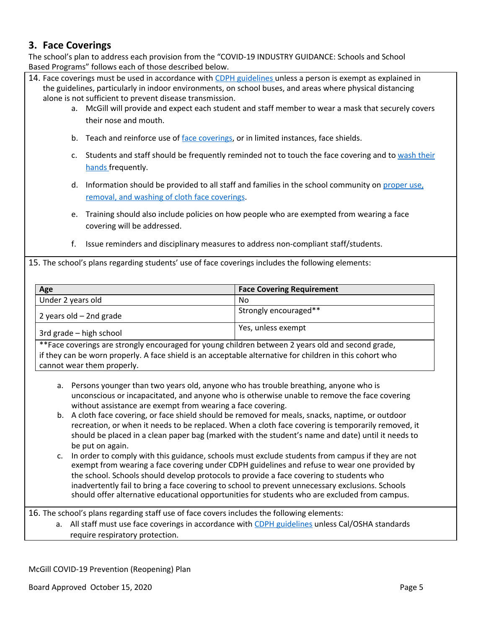### **3. Face Coverings**

The school's plan to address each provision from the "COVID-19 INDUSTRY GUIDANCE: Schools and School Based Programs" follows each of those described below.

- 14. Face coverings must be used in accordance with CDPH [guidelines](https://www.cdph.ca.gov/Programs/CID/DCDC/CDPH%20Document%20Library/COVID-19/Guidance-for-Face-Coverings_06-18-2020.pdf) unless a person is exempt as explained in the guidelines, particularly in indoor environments, on school buses, and areas where physical distancing alone is not sufficient to prevent disease transmission.
	- a. McGill will provide and expect each student and staff member to wear a mask that securely covers their nose and mouth.
	- b. Teach and reinforce use of face [coverings](https://www.cdc.gov/coronavirus/2019-ncov/prevent-getting-sick/diy-cloth-face-coverings.html), or in limited instances, face shields.
	- c. Students and staff should be frequently reminded not to touch the face covering and to [wash](https://www.cdc.gov/handwashing/index.html) their [hands](https://www.cdc.gov/handwashing/index.html) frequently.
	- d. Information should be provided to all staff and families in the school community on [proper](https://www.cdc.gov/coronavirus/2019-ncov/prevent-getting-sick/diy-cloth-face-coverings.html) use, removal, and washing of cloth face [coverings](https://www.cdc.gov/coronavirus/2019-ncov/prevent-getting-sick/diy-cloth-face-coverings.html).
	- e. Training should also include policies on how people who are exempted from wearing a face covering will be addressed.
	- f. Issue reminders and disciplinary measures to address non-compliant staff/students.

15. The school's plans regarding students' use of face coverings includes the following elements:

| Age                                                                                                | <b>Face Covering Requirement</b> |  |
|----------------------------------------------------------------------------------------------------|----------------------------------|--|
| Under 2 years old                                                                                  | No                               |  |
| 2 years old $-$ 2nd grade                                                                          | Strongly encouraged**            |  |
| 3rd grade – high school                                                                            | Yes, unless exempt               |  |
| $*$ Face coverings are strongly encouraged for young children between 2 years old and second grade |                                  |  |

rings are strongly encouraged for young children between 2 years old and second grade, if they can be worn properly. A face shield is an acceptable alternative for children in this cohort who cannot wear them properly.

- a. Persons younger than two years old, anyone who has trouble breathing, anyone who is unconscious or incapacitated, and anyone who is otherwise unable to remove the face covering without assistance are exempt from wearing a face covering.
- b. A cloth face covering, or face shield should be removed for meals, snacks, naptime, or outdoor recreation, or when it needs to be replaced. When a cloth face covering is temporarily removed, it should be placed in a clean paper bag (marked with the student's name and date) until it needs to be put on again.
- c. In order to comply with this guidance, schools must exclude students from campus if they are not exempt from wearing a face covering under CDPH guidelines and refuse to wear one provided by the school. Schools should develop protocols to provide a face covering to students who inadvertently fail to bring a face covering to school to prevent unnecessary exclusions. Schools should offer alternative educational opportunities for students who are excluded from campus.

16. The school's plans regarding staff use of face covers includes the following elements:

a. All staff must use face coverings in accordance with CDPH [guidelines](https://www.cdph.ca.gov/Programs/CID/DCDC/CDPH%20Document%20Library/COVID-19/Guidance-for-Face-Coverings_06-18-2020.pdf) unless Cal/OSHA standards require respiratory protection.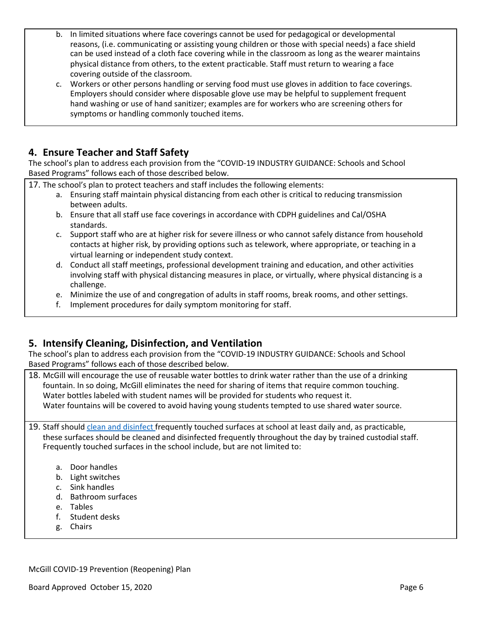- b. In limited situations where face coverings cannot be used for pedagogical or developmental reasons, (i.e. communicating or assisting young children or those with special needs) a face shield can be used instead of a cloth face covering while in the classroom as long as the wearer maintains physical distance from others, to the extent practicable. Staff must return to wearing a face covering outside of the classroom.
- c. Workers or other persons handling or serving food must use gloves in addition to face coverings. Employers should consider where disposable glove use may be helpful to supplement frequent hand washing or use of hand sanitizer; examples are for workers who are screening others for symptoms or handling commonly touched items.

### **4. Ensure Teacher and Staff Safety**

The school's plan to address each provision from the "COVID-19 INDUSTRY GUIDANCE: Schools and School Based Programs" follows each of those described below.

17. The school's plan to protect teachers and staff includes the following elements:

- a. Ensuring staff maintain physical distancing from each other is critical to reducing transmission between adults.
- b. Ensure that all staff use face coverings in accordance with CDPH guidelines and Cal/OSHA standards.
- c. Support staff who are at higher risk for severe illness or who cannot safely distance from household contacts at higher risk, by providing options such as telework, where appropriate, or teaching in a virtual learning or independent study context.
- d. Conduct all staff meetings, professional development training and education, and other activities involving staff with physical distancing measures in place, or virtually, where physical distancing is a challenge.
- e. Minimize the use of and congregation of adults in staff rooms, break rooms, and other settings.
- f. Implement procedures for daily symptom monitoring for staff.

### **5. Intensify Cleaning, Disinfection, and Ventilation**

The school's plan to address each provision from the "COVID-19 INDUSTRY GUIDANCE: Schools and School Based Programs" follows each of those described below.

18. McGill will encourage the use of reusable water bottles to drink water rather than the use of a drinking fountain. In so doing, McGill eliminates the need for sharing of items that require common touching. Water bottles labeled with student names will be provided for students who request it. Water fountains will be covered to avoid having young students tempted to use shared water source.

19. Staff should clean and [disinfect](https://www.cdc.gov/coronavirus/2019-ncov/community/disinfecting-building-facility.html) frequently touched surfaces at school at least daily and, as practicable, these surfaces should be cleaned and disinfected frequently throughout the day by trained custodial staff. Frequently touched surfaces in the school include, but are not limited to:

- a. Door handles
- b. Light switches
- c. Sink handles
- d. Bathroom surfaces
- e. Tables
- f. Student desks
- g. Chairs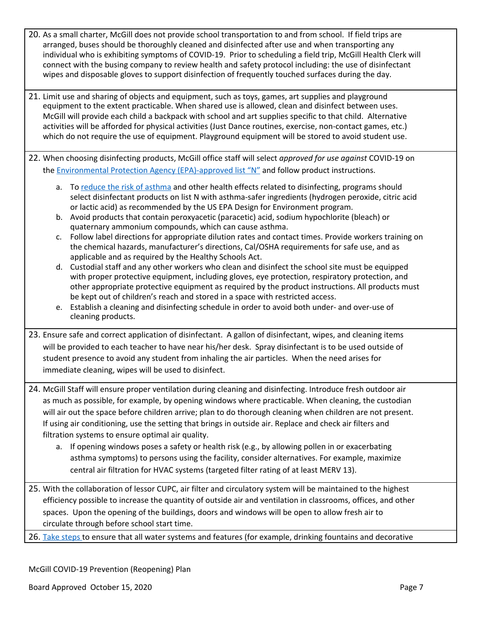- 20. As a small charter, McGill does not provide school transportation to and from school. If field trips are arranged, buses should be thoroughly cleaned and disinfected after use and when transporting any individual who is exhibiting symptoms of COVID-19. Prior to scheduling a field trip, McGill Health Clerk will connect with the busing company to review health and safety protocol including: the use of disinfectant wipes and disposable gloves to support disinfection of frequently touched surfaces during the day.
- 21. Limit use and sharing of objects and equipment, such as toys, games, art supplies and playground equipment to the extent practicable. When shared use is allowed, clean and disinfect between uses. McGill will provide each child a backpack with school and art supplies specific to that child. Alternative activities will be afforded for physical activities (Just Dance routines, exercise, non-contact games, etc.) which do not require the use of equipment. Playground equipment will be stored to avoid student use.
- 22. When choosing disinfecting products, McGill office staff will select *approved for use against* COVID-19 on the **Environmental Protection Agency [\(EPA\)-approved](https://www.epa.gov/pesticide-registration/list-n-disinfectants-use-against-sars-cov-2-covid-19) list "N"** and follow product instructions.
	- a. To reduce the risk of [asthma](https://www.cdph.ca.gov/Programs/CCDPHP/DEODC/OHB/Pages/OHWMay2020.aspx) and other health effects related to disinfecting, programs should select disinfectant products on list N with asthma-safer ingredients (hydrogen peroxide, citric acid or lactic acid) as recommended by the US EPA Design for Environment program.
	- b. Avoid products that contain peroxyacetic (paracetic) acid, sodium hypochlorite (bleach) or quaternary ammonium compounds, which can cause asthma.
	- c. Follow label directions for appropriate dilution rates and contact times. Provide workers training on the chemical hazards, manufacturer's directions, Cal/OSHA requirements for safe use, and as applicable and as required by the Healthy Schools Act.
	- d. Custodial staff and any other workers who clean and disinfect the school site must be equipped with proper protective equipment, including gloves, eye protection, respiratory protection, and other appropriate protective equipment as required by the product instructions. All products must be kept out of children's reach and stored in a space with restricted access.
	- e. Establish a cleaning and disinfecting schedule in order to avoid both under- and over-use of cleaning products.
- 23. Ensure safe and correct application of disinfectant. A gallon of disinfectant, wipes, and cleaning items will be provided to each teacher to have near his/her desk. Spray disinfectant is to be used outside of student presence to avoid any student from inhaling the air particles. When the need arises for immediate cleaning, wipes will be used to disinfect.
- 24. McGill Staff will ensure proper ventilation during cleaning and disinfecting. Introduce fresh outdoor air as much as possible, for example, by opening windows where practicable. When cleaning, the custodian will air out the space before children arrive; plan to do thorough cleaning when children are not present. If using air conditioning, use the setting that brings in outside air. Replace and check air filters and filtration systems to ensure optimal air quality.
	- a. If opening windows poses a safety or health risk (e.g., by allowing pollen in or exacerbating asthma symptoms) to persons using the facility, consider alternatives. For example, maximize central air filtration for HVAC systems (targeted filter rating of at least MERV 13).
- 25. With the collaboration of lessor CUPC, air filter and circulatory system will be maintained to the highest efficiency possible to increase the quantity of outside air and ventilation in classrooms, offices, and other spaces. Upon the opening of the buildings, doors and windows will be open to allow fresh air to circulate through before school start time.
- 26. Take [steps](https://www.cdc.gov/coronavirus/2019-ncov/php/building-water-system.html) to ensure that all water systems and features (for example, drinking fountains and decorative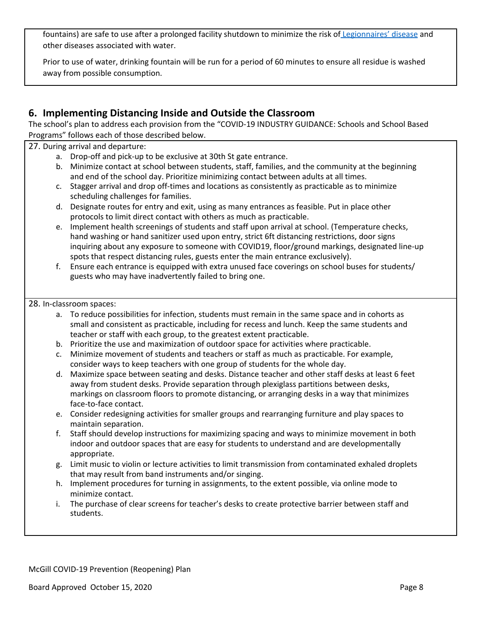fountains) are safe to use after a prolonged facility shutdown to minimize the risk of [Legionnaires'](https://www.cdc.gov/legionella/index.html) disease and other diseases associated with water.

Prior to use of water, drinking fountain will be run for a period of 60 minutes to ensure all residue is washed away from possible consumption.

## **6. Implementing Distancing Inside and Outside the Classroom**

The school's plan to address each provision from the "COVID-19 INDUSTRY GUIDANCE: Schools and School Based Programs" follows each of those described below.

### 27. During arrival and departure:

- a. Drop-off and pick-up to be exclusive at 30th St gate entrance.
- b. Minimize contact at school between students, staff, families, and the community at the beginning and end of the school day. Prioritize minimizing contact between adults at all times.
- c. Stagger arrival and drop off-times and locations as consistently as practicable as to minimize scheduling challenges for families.
- d. Designate routes for entry and exit, using as many entrances as feasible. Put in place other protocols to limit direct contact with others as much as practicable.
- e. Implement health screenings of students and staff upon arrival at school. (Temperature checks, hand washing or hand sanitizer used upon entry, strict 6ft distancing restrictions, door signs inquiring about any exposure to someone with COVID19, floor/ground markings, designated line-up spots that respect distancing rules, guests enter the main entrance exclusively).
- f. Ensure each entrance is equipped with extra unused face coverings on school buses for students/ guests who may have inadvertently failed to bring one.

#### 28. In-classroom spaces:

- a. To reduce possibilities for infection, students must remain in the same space and in cohorts as small and consistent as practicable, including for recess and lunch. Keep the same students and teacher or staff with each group, to the greatest extent practicable.
- b. Prioritize the use and maximization of outdoor space for activities where practicable.
- c. Minimize movement of students and teachers or staff as much as practicable. For example, consider ways to keep teachers with one group of students for the whole day.
- d. Maximize space between seating and desks. Distance teacher and other staff desks at least 6 feet away from student desks. Provide separation through plexiglass partitions between desks, markings on classroom floors to promote distancing, or arranging desks in a way that minimizes face-to-face contact.
- e. Consider redesigning activities for smaller groups and rearranging furniture and play spaces to maintain separation.
- f. Staff should develop instructions for maximizing spacing and ways to minimize movement in both indoor and outdoor spaces that are easy for students to understand and are developmentally appropriate.
- g. Limit music to violin or lecture activities to limit transmission from contaminated exhaled droplets that may result from band instruments and/or singing.
- h. Implement procedures for turning in assignments, to the extent possible, via online mode to minimize contact.
- i. The purchase of clear screens for teacher's desks to create protective barrier between staff and students.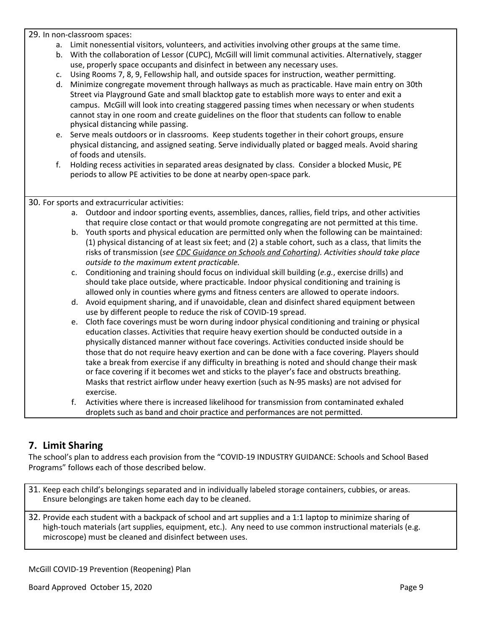29. In non-classroom spaces:

- a. Limit nonessential visitors, volunteers, and activities involving other groups at the same time.
- b. With the collaboration of Lessor (CUPC), McGill will limit communal activities. Alternatively, stagger use, properly space occupants and disinfect in between any necessary uses.
- c. Using Rooms 7, 8, 9, Fellowship hall, and outside spaces for instruction, weather permitting.
- d. Minimize congregate movement through hallways as much as practicable. Have main entry on 30th Street via Playground Gate and small blacktop gate to establish more ways to enter and exit a campus. McGill will look into creating staggered passing times when necessary or when students cannot stay in one room and create guidelines on the floor that students can follow to enable physical distancing while passing.
- e. Serve meals outdoors or in classrooms. Keep students together in their cohort groups, ensure physical distancing, and assigned seating. Serve individually plated or bagged meals. Avoid sharing of foods and utensils.
- f. Holding recess activities in separated areas designated by class. Consider a blocked Music, PE periods to allow PE activities to be done at nearby open-space park.

30. For sports and extracurricular activities:

- a. Outdoor and indoor sporting events, assemblies, dances, rallies, field trips, and other activities that require close contact or that would promote congregating are not permitted at this time.
- b. Youth sports and physical education are permitted only when the following can be maintained: (1) physical distancing of at least six feet; and (2) a stable cohort, such as a class, that limits the risks of transmission (*see CDC Guidance on Schools and [Cohorting](https://www.cdc.gov/coronavirus/2019-ncov/community/schools-childcare/prepare-safe-return.html)). Activities should take place outside to the maximum extent practicable.*
- c. Conditioning and training should focus on individual skill building (*e.g.*, exercise drills) and should take place outside, where practicable. Indoor physical conditioning and training is allowed only in counties where gyms and fitness centers are allowed to operate indoors.
- d. Avoid equipment sharing, and if unavoidable, clean and disinfect shared equipment between use by different people to reduce the risk of COVID-19 spread.
- e. Cloth face coverings must be worn during indoor physical conditioning and training or physical education classes. Activities that require heavy exertion should be conducted outside in a physically distanced manner without face coverings. Activities conducted inside should be those that do not require heavy exertion and can be done with a face covering. Players should take a break from exercise if any difficulty in breathing is noted and should change their mask or face covering if it becomes wet and sticks to the player's face and obstructs breathing. Masks that restrict airflow under heavy exertion (such as N-95 masks) are not advised for exercise.
- f. Activities where there is increased likelihood for transmission from contaminated exhaled droplets such as band and choir practice and performances are not permitted.

### **7. Limit Sharing**

The school's plan to address each provision from the "COVID-19 INDUSTRY GUIDANCE: Schools and School Based Programs" follows each of those described below.

- 31. Keep each child's belongings separated and in individually labeled storage containers, cubbies, or areas. Ensure belongings are taken home each day to be cleaned.
- 32. Provide each student with a backpack of school and art supplies and a 1:1 laptop to minimize sharing of high-touch materials (art supplies, equipment, etc.). Any need to use common instructional materials (e.g. microscope) must be cleaned and disinfect between uses.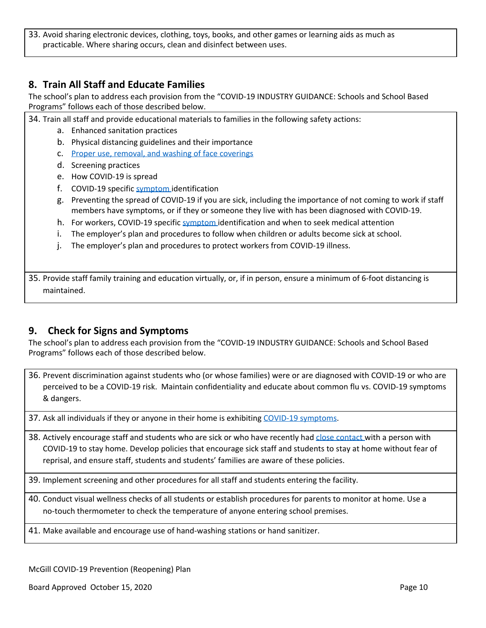33. Avoid sharing electronic devices, clothing, toys, books, and other games or learning aids as much as practicable. Where sharing occurs, clean and disinfect between uses.

### **8. Train All Staff and Educate Families**

The school's plan to address each provision from the "COVID-19 INDUSTRY GUIDANCE: Schools and School Based Programs" follows each of those described below.

34. Train all staff and provide educational materials to families in the following safety actions:

- a. Enhanced sanitation practices
- b. Physical distancing guidelines and their importance
- c. Proper use, removal, and washing of face [coverings](https://www.cdc.gov/coronavirus/2019-ncov/prevent-getting-sick/diy-cloth-face-coverings.html)
- d. Screening practices
- e. How COVID-19 is spread
- f. COVID-19 specific [symptom](https://www.cdc.gov/coronavirus/2019-ncov/symptoms-testing/symptoms.html) identification
- g. Preventing the spread of COVID-19 if you are sick, including the importance of not coming to work if staff members have symptoms, or if they or someone they live with has been diagnosed with COVID-19.
- h. For workers, COVID-19 specific [symptom](https://www.cdc.gov/coronavirus/2019-ncov/symptoms-testing/symptoms.html) identification and when to seek medical attention
- i. The employer's plan and procedures to follow when children or adults become sick at school.
- j. The employer's plan and procedures to protect workers from COVID-19 illness.

35. Provide staff family training and education virtually, or, if in person, ensure a minimum of 6-foot distancing is maintained.

### **9. Check for Signs and Symptoms**

The school's plan to address each provision from the "COVID-19 INDUSTRY GUIDANCE: Schools and School Based Programs" follows each of those described below.

36. Prevent discrimination against students who (or whose families) were or are diagnosed with COVID-19 or who are perceived to be a COVID-19 risk. Maintain confidentiality and educate about common flu vs. COVID-19 symptoms & dangers.

37. Ask all individuals if they or anyone in their home is exhibiting COVID-19 [symptoms](https://www.cdc.gov/coronavirus/2019-ncov/symptoms-testing/symptoms.html).

- 38. Actively encourage staff and students who are sick or who have recently had close [contact](https://www.cdc.gov/coronavirus/2019-ncov/php/public-health-recommendations.html) with a person with COVID-19 to stay home. Develop policies that encourage sick staff and students to stay at home without fear of reprisal, and ensure staff, students and students' families are aware of these policies.
- 39. Implement screening and other procedures for all staff and students entering the facility.
- 40. Conduct visual wellness checks of all students or establish procedures for parents to monitor at home. Use a no-touch thermometer to check the temperature of anyone entering school premises.
- 41. Make available and encourage use of hand-washing stations or hand sanitizer.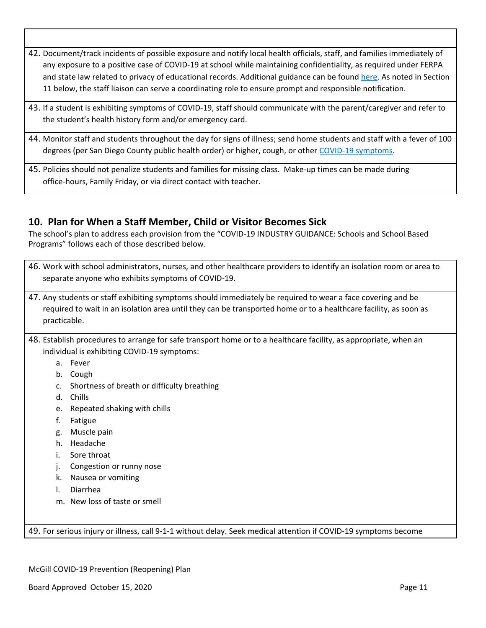- 42. Document/track incidents of possible exposure and notify local health officials, staff, and families immediately of any exposure to a positive case of COVID-19 at school while maintaining confidentiality, as required under FERPA and state law related to privacy of educational records. Additional guidance can be found [here.](https://studentprivacy.ed.gov/sites/default/files/resource_document/file/FERPA%20and%20Coronavirus%20Frequently%20Asked%20Questions.pdf) As noted in Section 11 below, the staff liaison can serve a coordinating role to ensure prompt and responsible notification.
- 43. If a student is exhibiting symptoms of COVID-19, staff should communicate with the parent/caregiver and refer to the student's health history form and/or emergency card.
- 44. Monitor staff and students throughout the day for signs of illness; send home students and staff with a fever of 100 degrees (per San Diego County public health order) or higher, cough, or other COVID-19 [symptoms.](https://www.cdc.gov/coronavirus/2019-ncov/symptoms-testing/symptoms.html)
- 45. Policies should not penalize students and families for missing class. Make-up times can be made during office-hours, Family Friday, or via direct contact with teacher.

### **10. Plan for When a Staff Member, Child or Visitor Becomes Sick**

The school's plan to address each provision from the "COVID-19 INDUSTRY GUIDANCE: Schools and School Based Programs" follows each of those described below.

- 46. Work with school administrators, nurses, and other healthcare providers to identify an isolation room or area to separate anyone who exhibits symptoms of COVID-19.
- 47. Any students or staff exhibiting symptoms should immediately be required to wear a face covering and be required to wait in an isolation area until they can be transported home or to a healthcare facility, as soon as practicable.
- 48. Establish procedures to arrange for safe transport home or to a healthcare facility, as appropriate, when an individual is exhibiting COVID-19 symptoms:
	- a. Fever
	- b. Cough
	- c. Shortness of breath or difficulty breathing
	- d. Chills
	- e. Repeated shaking with chills
	- f. Fatigue
	- g. Muscle pain
	- h. Headache
	- i. Sore throat
	- j. Congestion or runny nose
	- k. Nausea or vomiting
	- l. Diarrhea
	- m. New loss of taste or smell

49. For serious injury or illness, call 9-1-1 without delay. Seek medical attention if COVID-19 symptoms become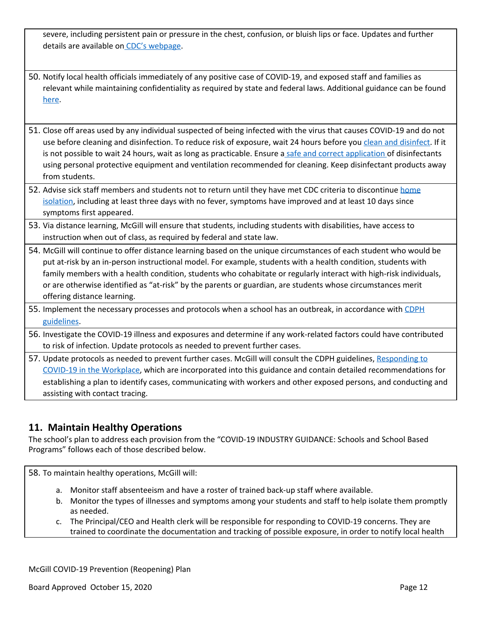severe, including persistent pain or pressure in the chest, confusion, or bluish lips or face. Updates and further details are available on CDC's [webpage.](https://www.cdc.gov/coronavirus/2019-ncov/symptoms-testing/symptoms.html)

- 50. Notify local health officials immediately of any positive case of COVID-19, and exposed staff and families as relevant while maintaining confidentiality as required by state and federal laws. Additional guidance can be found [here](https://studentprivacy.ed.gov/sites/default/files/resource_document/file/FERPA%20and%20Coronavirus%20Frequently%20Asked%20Questions.pdf).
- 51. Close off areas used by any individual suspected of being infected with the virus that causes COVID-19 and do not use before cleaning and disinfection. To reduce risk of exposure, wait 24 hours before you clean and [disinfect.](https://www.cdc.gov/coronavirus/2019-ncov/community/organizations/cleaning-disinfection.html) If it is not possible to wait 24 hours, wait as long as practicable. Ensure a safe and correct [application](https://www.epa.gov/sites/production/files/2020-04/documents/disinfectants-onepager.pdf) of disinfectants using personal protective equipment and ventilation recommended for cleaning. Keep disinfectant products away from students.
- 52. Advise sick staff members and students not to return until they have met CDC criteria to discontinue [home](https://www.cdc.gov/coronavirus/2019-ncov/if-you-are-sick/steps-when-sick.html) [isolation](https://www.cdc.gov/coronavirus/2019-ncov/if-you-are-sick/steps-when-sick.html), including at least three days with no fever, symptoms have improved and at least 10 days since symptoms first appeared.
- 53. Via distance learning, McGill will ensure that students, including students with disabilities, have access to instruction when out of class, as required by federal and state law.
- 54. McGill will continue to offer distance learning based on the unique circumstances of each student who would be put at-risk by an in-person instructional model. For example, students with a health condition, students with family members with a health condition, students who cohabitate or regularly interact with high-risk individuals, or are otherwise identified as "at-risk" by the parents or guardian, are students whose circumstances merit offering distance learning.
- 55. Implement the necessary processes and protocols when a school has an outbreak, in accordance with [CDPH](https://www.cdph.ca.gov/Programs/CID/DCDC/Pages/COVID-19/Workplace-Outbreak-Employer-Guidance.aspx) [guidelines](https://www.cdph.ca.gov/Programs/CID/DCDC/Pages/COVID-19/Workplace-Outbreak-Employer-Guidance.aspx).
- 56. Investigate the COVID-19 illness and exposures and determine if any work-related factors could have contributed to risk of infection. Update protocols as needed to prevent further cases.
- 57. Update protocols as needed to prevent further cases. McGill will consult the CDPH guidelines, [Responding](https://www.cdph.ca.gov/Programs/CID/DCDC/Pages/COVID-19/Workplace-Outbreak-Employer-Guidance.aspx) to COVID-19 in the [Workplace](https://www.cdph.ca.gov/Programs/CID/DCDC/Pages/COVID-19/Workplace-Outbreak-Employer-Guidance.aspx), which are incorporated into this guidance and contain detailed recommendations for establishing a plan to identify cases, communicating with workers and other exposed persons, and conducting and assisting with contact tracing.

# **11. Maintain Healthy Operations**

The school's plan to address each provision from the "COVID-19 INDUSTRY GUIDANCE: Schools and School Based Programs" follows each of those described below.

58. To maintain healthy operations, McGill will:

- a. Monitor staff absenteeism and have a roster of trained back-up staff where available.
- b. Monitor the types of illnesses and symptoms among your students and staff to help isolate them promptly as needed.
- c. The Principal/CEO and Health clerk will be responsible for responding to COVID-19 concerns. They are trained to coordinate the documentation and tracking of possible exposure, in order to notify local health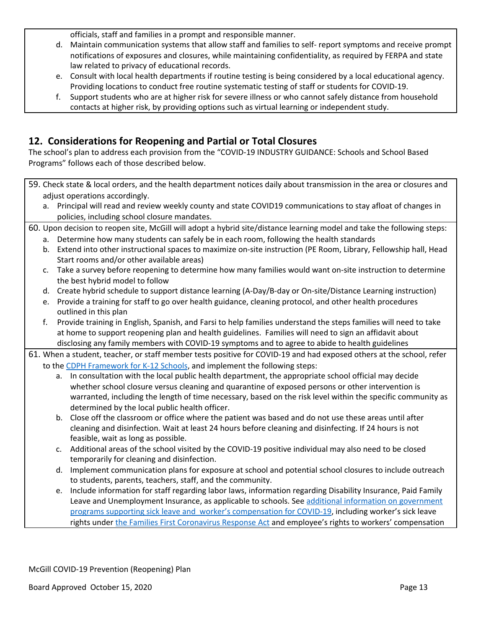officials, staff and families in a prompt and responsible manner.

- d. Maintain communication systems that allow staff and families to self- report symptoms and receive prompt notifications of exposures and closures, while maintaining confidentiality, as required by FERPA and state law related to privacy of educational records.
- e. Consult with local health departments if routine testing is being considered by a local educational agency. Providing locations to conduct free routine systematic testing of staff or students for COVID-19.
- f. Support students who are at higher risk for severe illness or who cannot safely distance from household contacts at higher risk, by providing options such as virtual learning or independent study.

### **12. Considerations for Reopening and Partial or Total Closures**

The school's plan to address each provision from the "COVID-19 INDUSTRY GUIDANCE: Schools and School Based Programs" follows each of those described below.

- 59. Check state & local orders, and the health department notices daily about transmission in the area or closures and adjust operations accordingly.
	- a. Principal will read and review weekly county and state COVID19 communications to stay afloat of changes in policies, including school closure mandates.
- 60. Upon decision to reopen site, McGill will adopt a hybrid site/distance learning model and take the following steps:
	- a. Determine how many students can safely be in each room, following the health standards
	- b. Extend into other instructional spaces to maximize on-site instruction (PE Room, Library, Fellowship hall, Head Start rooms and/or other available areas)
	- c. Take a survey before reopening to determine how many families would want on-site instruction to determine the best hybrid model to follow
	- d. Create hybrid schedule to support distance learning (A-Day/B-day or On-site/Distance Learning instruction)
	- e. Provide a training for staff to go over health guidance, cleaning protocol, and other health procedures outlined in this plan
	- f. Provide training in English, Spanish, and Farsi to help families understand the steps families will need to take at home to support reopening plan and health guidelines. Families will need to sign an affidavit about disclosing any family members with COVID-19 symptoms and to agree to abide to health guidelines
- 61. When a student, teacher, or staff member tests positive for COVID-19 and had exposed others at the school, refer to the CDPH [Framework](https://www.cdph.ca.gov/Programs/CID/DCDC/CDPH%20Document%20Library/COVID-19/Schools%20Reopening%20Recommendations.pdf) for K-12 Schools, and implement the following steps:
	- a. In consultation with the local public health department, the appropriate school official may decide whether school closure versus cleaning and quarantine of exposed persons or other intervention is warranted, including the length of time necessary, based on the risk level within the specific community as determined by the local public health officer.
	- b. Close off the classroom or office where the patient was based and do not use these areas until after cleaning and disinfection. Wait at least 24 hours before cleaning and disinfecting. If 24 hours is not feasible, wait as long as possible.
	- c. Additional areas of the school visited by the COVID-19 positive individual may also need to be closed temporarily for cleaning and disinfection.
	- d. Implement communication plans for exposure at school and potential school closures to include outreach to students, parents, teachers, staff, and the community.
	- e. Include information for staff regarding labor laws, information regarding Disability Insurance, Paid Family Leave and Unemployment Insurance, as applicable to schools. See additional information on [government](https://www.labor.ca.gov/coronavirus2019/#chart) programs supporting sick leave and worker's [compensation](https://www.labor.ca.gov/coronavirus2019/#chart) for COVID-19, including worker's sick leave rights under the Families First [Coronavirus](https://www.dol.gov/agencies/whd/pandemic/ffcra-employee-paid-leave) Response Act and employee's rights to workers' compensation